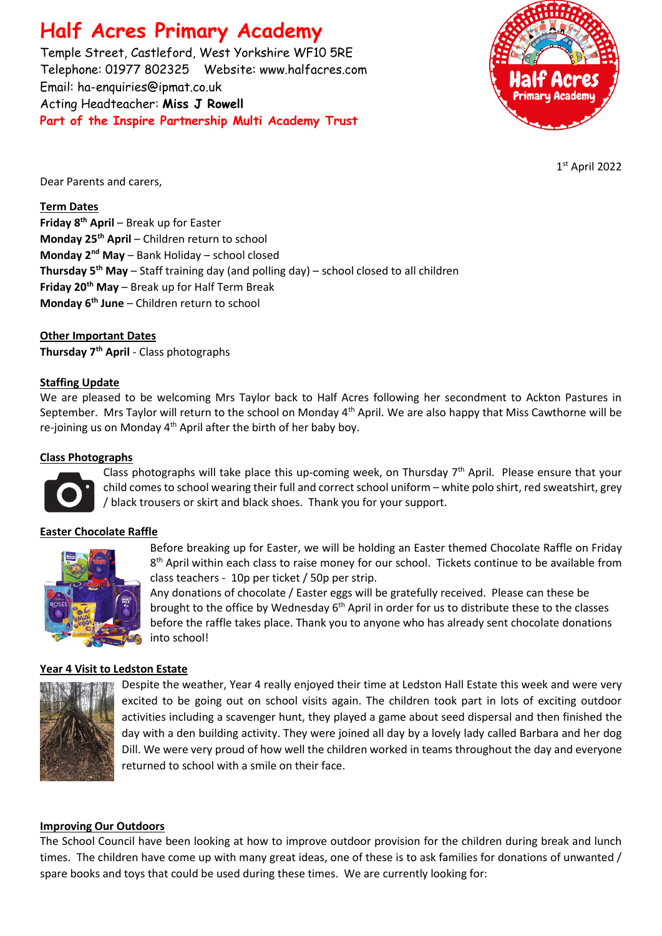# **Half Acres Primary Academy**

Temple Street, Castleford, West Yorkshire WF10 5RE Telephone: 01977 802325 Website: [www.halfacres.com](http://www.halfacres.com/) Email: ha-enquiries@ipmat.co.uk Acting Headteacher: **Miss J Rowell Part of the Inspire Partnership Multi Academy Trust**



1 st April 2022

Dear Parents and carers,

## **Term Dates**

**Friday 8th April** – Break up for Easter **Monday 25th April** – Children return to school **Monday 2nd May** – Bank Holiday – school closed **Thursday 5th May** – Staff training day (and polling day) – school closed to all children **Friday 20th May** – Break up for Half Term Break **Monday 6th June** – Children return to school

**Other Important Dates Thursday 7th April** - Class photographs

## **Staffing Update**

We are pleased to be welcoming Mrs Taylor back to Half Acres following her secondment to Ackton Pastures in September. Mrs Taylor will return to the school on Monday 4<sup>th</sup> April. We are also happy that Miss Cawthorne will be re-joining us on Monday  $4<sup>th</sup>$  April after the birth of her baby boy.

#### **Class Photographs**



Class photographs will take place this up-coming week, on Thursday  $7<sup>th</sup>$  April. Please ensure that your child comes to school wearing their full and correct school uniform – white polo shirt, red sweatshirt, grey / black trousers or skirt and black shoes. Thank you for your support.

## **Easter Chocolate Raffle**



Before breaking up for Easter, we will be holding an Easter themed Chocolate Raffle on Friday 8<sup>th</sup> April within each class to raise money for our school. Tickets continue to be available from class teachers - 10p per ticket / 50p per strip.

Any donations of chocolate / Easter eggs will be gratefully received. Please can these be brought to the office by Wednesday 6<sup>th</sup> April in order for us to distribute these to the classes before the raffle takes place. Thank you to anyone who has already sent chocolate donations into school!

#### **Year 4 Visit to Ledston Estate**



Despite the weather, Year 4 really enjoyed their time at Ledston Hall Estate this week and were very excited to be going out on school visits again. The children took part in lots of exciting outdoor activities including a scavenger hunt, they played a game about seed dispersal and then finished the day with a den building activity. They were joined all day by a lovely lady called Barbara and her dog Dill. We were very proud of how well the children worked in teams throughout the day and everyone returned to school with a smile on their face.

## **Improving Our Outdoors**

The School Council have been looking at how to improve outdoor provision for the children during break and lunch times. The children have come up with many great ideas, one of these is to ask families for donations of unwanted / spare books and toys that could be used during these times. We are currently looking for: